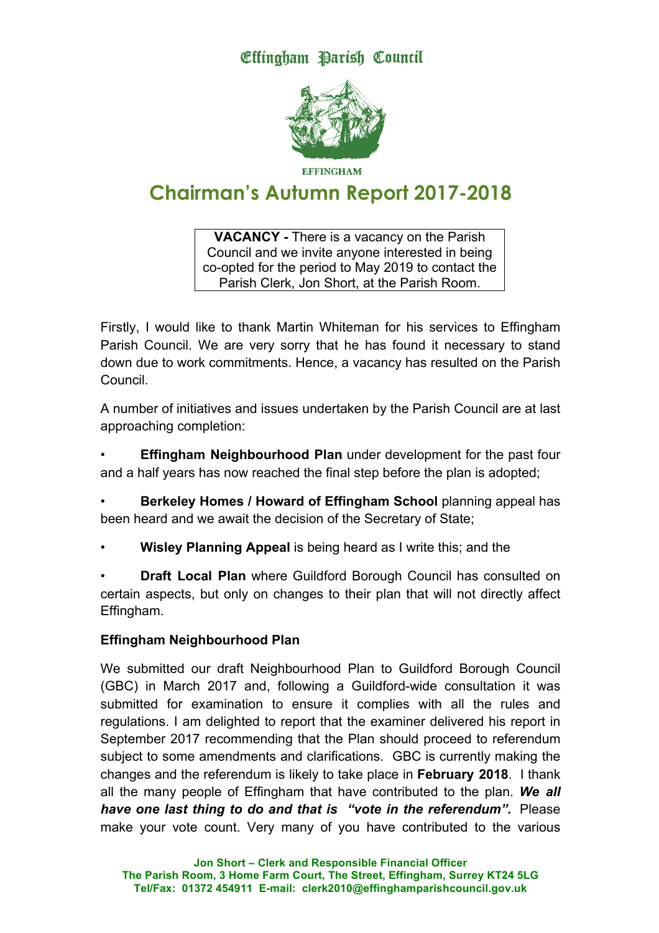**Effingham Barish Council** 



**Chairman's Autumn Report 2017-2018**

**VACANCY -** There is a vacancy on the Parish Council and we invite anyone interested in being co-opted for the period to May 2019 to contact the Parish Clerk, Jon Short, at the Parish Room.

Firstly, I would like to thank Martin Whiteman for his services to Effingham Parish Council. We are very sorry that he has found it necessary to stand down due to work commitments. Hence, a vacancy has resulted on the Parish Council.

A number of initiatives and issues undertaken by the Parish Council are at last approaching completion:

**Effingham Neighbourhood Plan** under development for the past four and a half years has now reached the final step before the plan is adopted;

• **Berkeley Homes / Howard of Effingham School** planning appeal has been heard and we await the decision of the Secretary of State;

• **Wisley Planning Appeal** is being heard as I write this; and the

• **Draft Local Plan** where Guildford Borough Council has consulted on certain aspects, but only on changes to their plan that will not directly affect Effingham.

# **Effingham Neighbourhood Plan**

We submitted our draft Neighbourhood Plan to Guildford Borough Council (GBC) in March 2017 and, following a Guildford-wide consultation it was submitted for examination to ensure it complies with all the rules and regulations. I am delighted to report that the examiner delivered his report in September 2017 recommending that the Plan should proceed to referendum subject to some amendments and clarifications. GBC is currently making the changes and the referendum is likely to take place in **February 2018**. I thank all the many people of Effingham that have contributed to the plan. *We all have one last thing to do and that is "vote in the referendum".* Please make your vote count. Very many of you have contributed to the various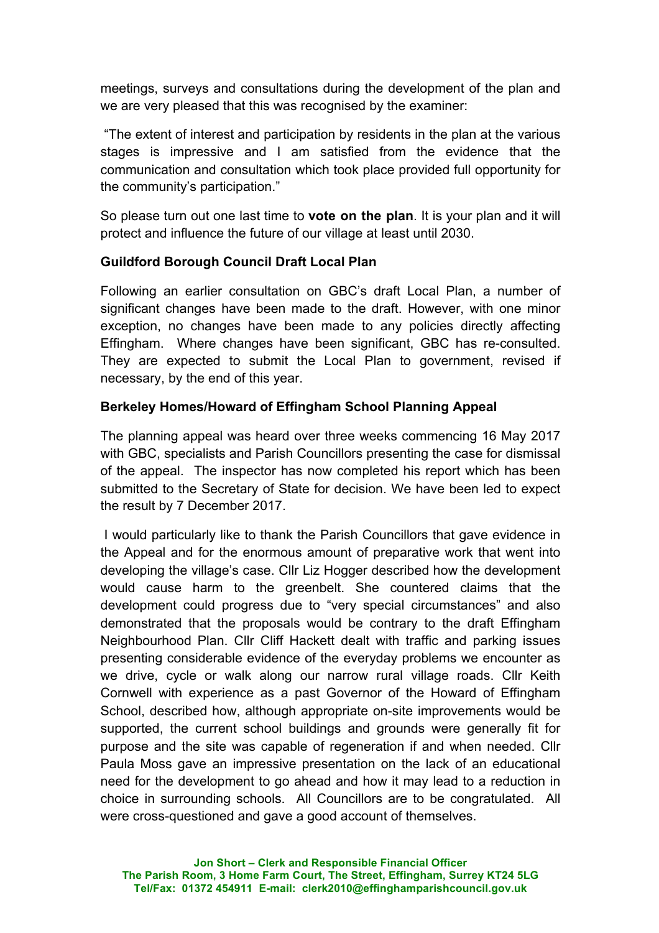meetings, surveys and consultations during the development of the plan and we are very pleased that this was recognised by the examiner:

"The extent of interest and participation by residents in the plan at the various stages is impressive and I am satisfied from the evidence that the communication and consultation which took place provided full opportunity for the community's participation."

So please turn out one last time to **vote on the plan**. It is your plan and it will protect and influence the future of our village at least until 2030.

# **Guildford Borough Council Draft Local Plan**

Following an earlier consultation on GBC's draft Local Plan, a number of significant changes have been made to the draft. However, with one minor exception, no changes have been made to any policies directly affecting Effingham. Where changes have been significant, GBC has re-consulted. They are expected to submit the Local Plan to government, revised if necessary, by the end of this year.

# **Berkeley Homes/Howard of Effingham School Planning Appeal**

The planning appeal was heard over three weeks commencing 16 May 2017 with GBC, specialists and Parish Councillors presenting the case for dismissal of the appeal. The inspector has now completed his report which has been submitted to the Secretary of State for decision. We have been led to expect the result by 7 December 2017.

I would particularly like to thank the Parish Councillors that gave evidence in the Appeal and for the enormous amount of preparative work that went into developing the village's case. Cllr Liz Hogger described how the development would cause harm to the greenbelt. She countered claims that the development could progress due to "very special circumstances" and also demonstrated that the proposals would be contrary to the draft Effingham Neighbourhood Plan. Cllr Cliff Hackett dealt with traffic and parking issues presenting considerable evidence of the everyday problems we encounter as we drive, cycle or walk along our narrow rural village roads. Cllr Keith Cornwell with experience as a past Governor of the Howard of Effingham School, described how, although appropriate on-site improvements would be supported, the current school buildings and grounds were generally fit for purpose and the site was capable of regeneration if and when needed. Cllr Paula Moss gave an impressive presentation on the lack of an educational need for the development to go ahead and how it may lead to a reduction in choice in surrounding schools. All Councillors are to be congratulated. All were cross-questioned and gave a good account of themselves.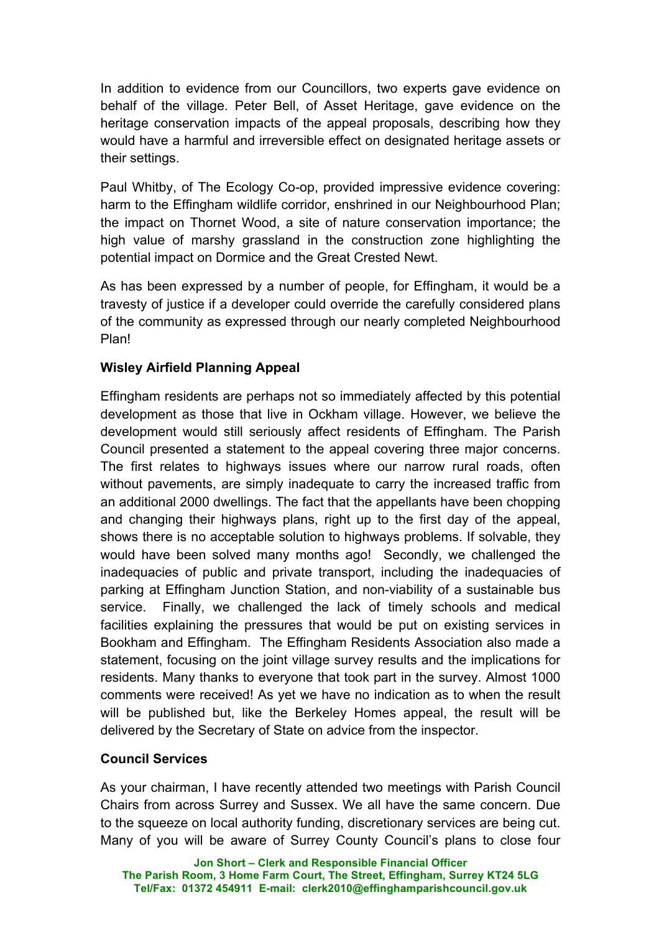In addition to evidence from our Councillors, two experts gave evidence on behalf of the village. Peter Bell, of Asset Heritage, gave evidence on the heritage conservation impacts of the appeal proposals, describing how they would have a harmful and irreversible effect on designated heritage assets or their settings.

Paul Whitby, of The Ecology Co-op, provided impressive evidence covering: harm to the Effingham wildlife corridor, enshrined in our Neighbourhood Plan; the impact on Thornet Wood, a site of nature conservation importance; the high value of marshy grassland in the construction zone highlighting the potential impact on Dormice and the Great Crested Newt.

As has been expressed by a number of people, for Effingham, it would be a travesty of justice if a developer could override the carefully considered plans of the community as expressed through our nearly completed Neighbourhood Plan!

# **Wisley Airfield Planning Appeal**

Effingham residents are perhaps not so immediately affected by this potential development as those that live in Ockham village. However, we believe the development would still seriously affect residents of Effingham. The Parish Council presented a statement to the appeal covering three major concerns. The first relates to highways issues where our narrow rural roads, often without pavements, are simply inadequate to carry the increased traffic from an additional 2000 dwellings. The fact that the appellants have been chopping and changing their highways plans, right up to the first day of the appeal, shows there is no acceptable solution to highways problems. If solvable, they would have been solved many months ago! Secondly, we challenged the inadequacies of public and private transport, including the inadequacies of parking at Effingham Junction Station, and non-viability of a sustainable bus service. Finally, we challenged the lack of timely schools and medical facilities explaining the pressures that would be put on existing services in Bookham and Effingham. The Effingham Residents Association also made a statement, focusing on the joint village survey results and the implications for residents. Many thanks to everyone that took part in the survey. Almost 1000 comments were received! As yet we have no indication as to when the result will be published but, like the Berkeley Homes appeal, the result will be delivered by the Secretary of State on advice from the inspector.

# **Council Services**

As your chairman, I have recently attended two meetings with Parish Council Chairs from across Surrey and Sussex. We all have the same concern. Due to the squeeze on local authority funding, discretionary services are being cut. Many of you will be aware of Surrey County Council's plans to close four